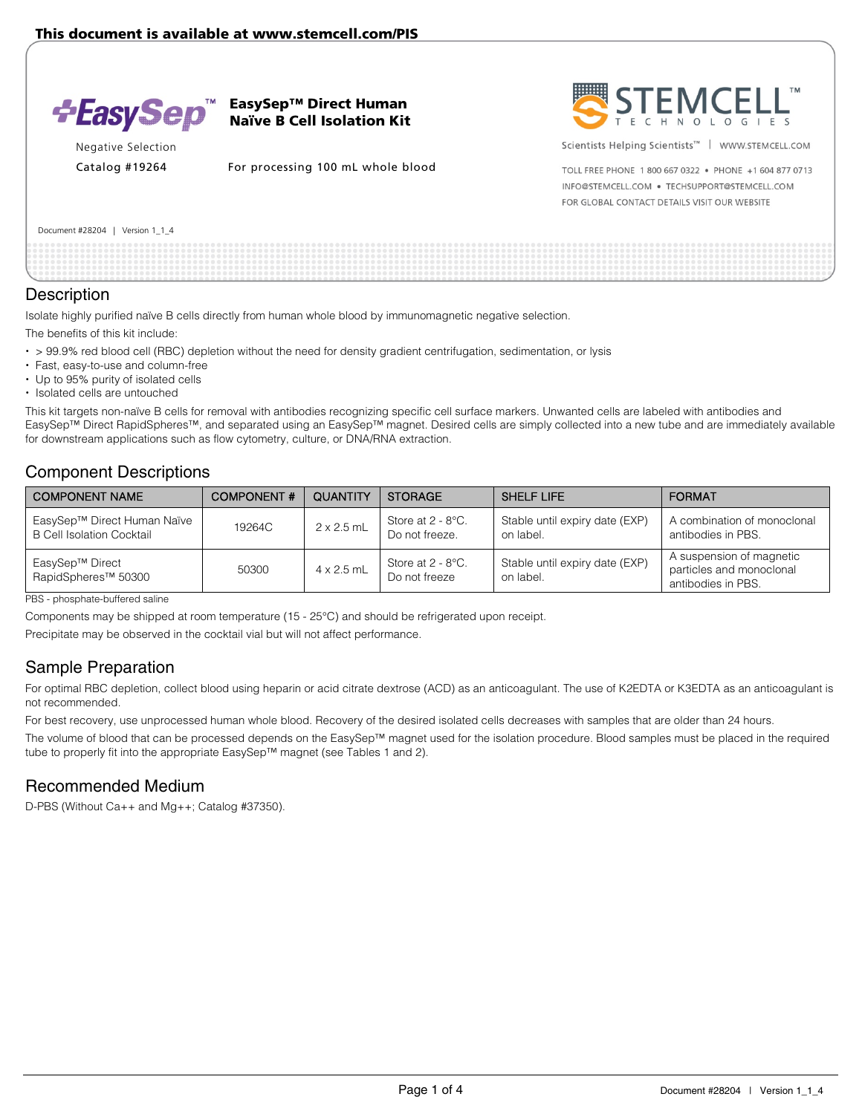

EasySep™ Direct Human Naïve B Cell Isolation Kit



Catalog #19264 For processing 100 mL whole blood



Scientists Helping Scientists<sup>™</sup> | WWW.STEMCELL.COM

TOLL FREE PHONE 1 800 667 0322 . PHONE +1 604 877 0713 INFO@STEMCELL.COM . TECHSUPPORT@STEMCELL.COM FOR GLOBAL CONTACT DETAILS VISIT OUR WEBSITE

Document #28204 | Version 1\_1\_4

### **Description**

Isolate highly purified naïve B cells directly from human whole blood by immunomagnetic negative selection.

The benefits of this kit include:

- $\cdot$  > 99.9% red blood cell (RBC) depletion without the need for density gradient centrifugation, sedimentation, or lysis
- Fast, easy-to-use and column-free
- Up to 95% purity of isolated cells
- Isolated cells are untouched

This kit targets non-naïve B cells for removal with antibodies recognizing specific cell surface markers. Unwanted cells are labeled with antibodies and EasySep™ Direct RapidSpheres™, and separated using an EasySep™ magnet. Desired cells are simply collected into a new tube and are immediately available for downstream applications such as flow cytometry, culture, or DNA/RNA extraction.

### Component Descriptions

| <b>COMPONENT NAME</b>                                           | <b>COMPONENT#</b> | <b>QUANTITY</b>   | <b>STORAGE</b>                         | <b>SHELF LIFE</b>                           | <b>FORMAT</b>                                                              |
|-----------------------------------------------------------------|-------------------|-------------------|----------------------------------------|---------------------------------------------|----------------------------------------------------------------------------|
| EasySep™ Direct Human Naïve<br><b>B Cell Isolation Cocktail</b> | 19264C            | $2 \times 2.5$ mL | Store at $2 - 8$ °C.<br>Do not freeze. | Stable until expiry date (EXP)<br>on label. | A combination of monoclonal<br>antibodies in PBS.                          |
| EasySep™ Direct<br>RapidSpheres <sup>™</sup> 50300              | 50300             | $4 \times 2.5$ mL | Store at 2 - 8°C.<br>Do not freeze     | Stable until expiry date (EXP)<br>on label. | A suspension of magnetic<br>particles and monoclonal<br>antibodies in PBS. |

PBS - phosphate-buffered saline

Components may be shipped at room temperature (15 - 25°C) and should be refrigerated upon receipt.

Precipitate may be observed in the cocktail vial but will not affect performance.

# Sample Preparation

For optimal RBC depletion, collect blood using heparin or acid citrate dextrose (ACD) as an anticoagulant. The use of K2EDTA or K3EDTA as an anticoagulant is not recommended.

For best recovery, use unprocessed human whole blood. Recovery of the desired isolated cells decreases with samples that are older than 24 hours.

The volume of blood that can be processed depends on the EasySep™ magnet used for the isolation procedure. Blood samples must be placed in the required tube to properly fit into the appropriate EasySep™ magnet (see Tables 1 and 2).

## Recommended Medium

D-PBS (Without Ca++ and Mg++; Catalog #37350).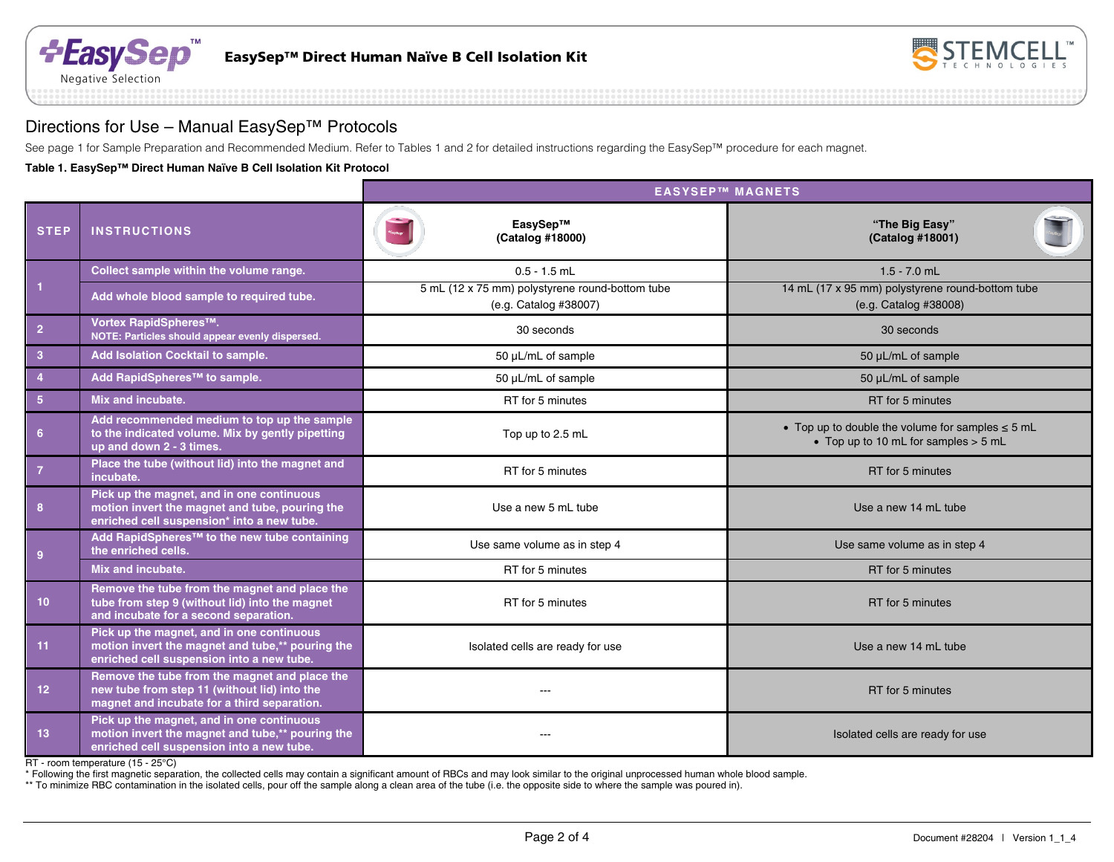



## Directions for Use – Manual EasySep™ Protocols

See page 1 for Sample Preparation and Recommended Medium. Refer to Tables 1 and 2 for detailed instructions regarding the EasySep™ procedure for each magnet.

**Table 1. EasySep™ Direct Human Naïve B Cell Isolation Kit Protocol**

|                 |                                                                                                                                              | <b>EASYSEP™ MAGNETS</b>                                                  |                                                                                               |  |  |  |  |
|-----------------|----------------------------------------------------------------------------------------------------------------------------------------------|--------------------------------------------------------------------------|-----------------------------------------------------------------------------------------------|--|--|--|--|
| <b>STEP</b>     | <b>INSTRUCTIONS</b>                                                                                                                          | EasySep™<br>(Catalog #18000)                                             | "The Big Easy"<br>(Catalog #18001)                                                            |  |  |  |  |
|                 | Collect sample within the volume range.                                                                                                      | $0.5 - 1.5$ mL                                                           | $1.5 - 7.0$ mL                                                                                |  |  |  |  |
| $\vert$ 1       | Add whole blood sample to required tube.                                                                                                     | 5 mL (12 x 75 mm) polystyrene round-bottom tube<br>(e.g. Catalog #38007) | 14 mL (17 x 95 mm) polystyrene round-bottom tube<br>(e.g. Catalog #38008)                     |  |  |  |  |
| $\overline{2}$  | Vortex RapidSpheres™.<br>NOTE: Particles should appear evenly dispersed.                                                                     | 30 seconds                                                               | 30 seconds                                                                                    |  |  |  |  |
| $\overline{3}$  | Add Isolation Cocktail to sample.                                                                                                            | 50 µL/mL of sample                                                       | 50 µL/mL of sample                                                                            |  |  |  |  |
| $\overline{4}$  | Add RapidSpheres™ to sample.                                                                                                                 | 50 µL/mL of sample                                                       | 50 µL/mL of sample                                                                            |  |  |  |  |
| $5\phantom{.0}$ | Mix and incubate.                                                                                                                            | RT for 5 minutes                                                         | RT for 5 minutes                                                                              |  |  |  |  |
| $6\phantom{1}6$ | Add recommended medium to top up the sample<br>to the indicated volume. Mix by gently pipetting<br>up and down 2 - 3 times.                  | Top up to 2.5 mL                                                         | • Top up to double the volume for samples $\leq$ 5 mL<br>• Top up to 10 mL for samples > 5 mL |  |  |  |  |
| $\overline{7}$  | Place the tube (without lid) into the magnet and<br>incubate.                                                                                | RT for 5 minutes                                                         | RT for 5 minutes                                                                              |  |  |  |  |
| 8               | Pick up the magnet, and in one continuous<br>motion invert the magnet and tube, pouring the<br>enriched cell suspension* into a new tube.    | Use a new 5 mL tube                                                      | Use a new 14 mL tube                                                                          |  |  |  |  |
| 9               | Add RapidSpheres <sup>™</sup> to the new tube containing<br>the enriched cells.                                                              | Use same volume as in step 4                                             | Use same volume as in step 4                                                                  |  |  |  |  |
|                 | Mix and incubate.                                                                                                                            | RT for 5 minutes                                                         | RT for 5 minutes                                                                              |  |  |  |  |
| 10 <sup>°</sup> | Remove the tube from the magnet and place the<br>tube from step 9 (without lid) into the magnet<br>and incubate for a second separation.     | RT for 5 minutes                                                         | RT for 5 minutes                                                                              |  |  |  |  |
| 11              | Pick up the magnet, and in one continuous<br>motion invert the magnet and tube,** pouring the<br>enriched cell suspension into a new tube.   | Isolated cells are ready for use                                         | Use a new 14 mL tube                                                                          |  |  |  |  |
| 12              | Remove the tube from the magnet and place the<br>new tube from step 11 (without lid) into the<br>magnet and incubate for a third separation. |                                                                          | RT for 5 minutes                                                                              |  |  |  |  |
| 13              | Pick up the magnet, and in one continuous<br>motion invert the magnet and tube,** pouring the<br>enriched cell suspension into a new tube.   | ---                                                                      | Isolated cells are ready for use                                                              |  |  |  |  |

RT - room temperature (15 - 25°C)

\* Following the first magnetic separation, the collected cells may contain a significant amount of RBCs and may look similar to the original unprocessed human whole blood sample.

\*\* To minimize RBC contamination in the isolated cells, pour off the sample along a clean area of the tube (i.e. the opposite side to where the sample was poured in).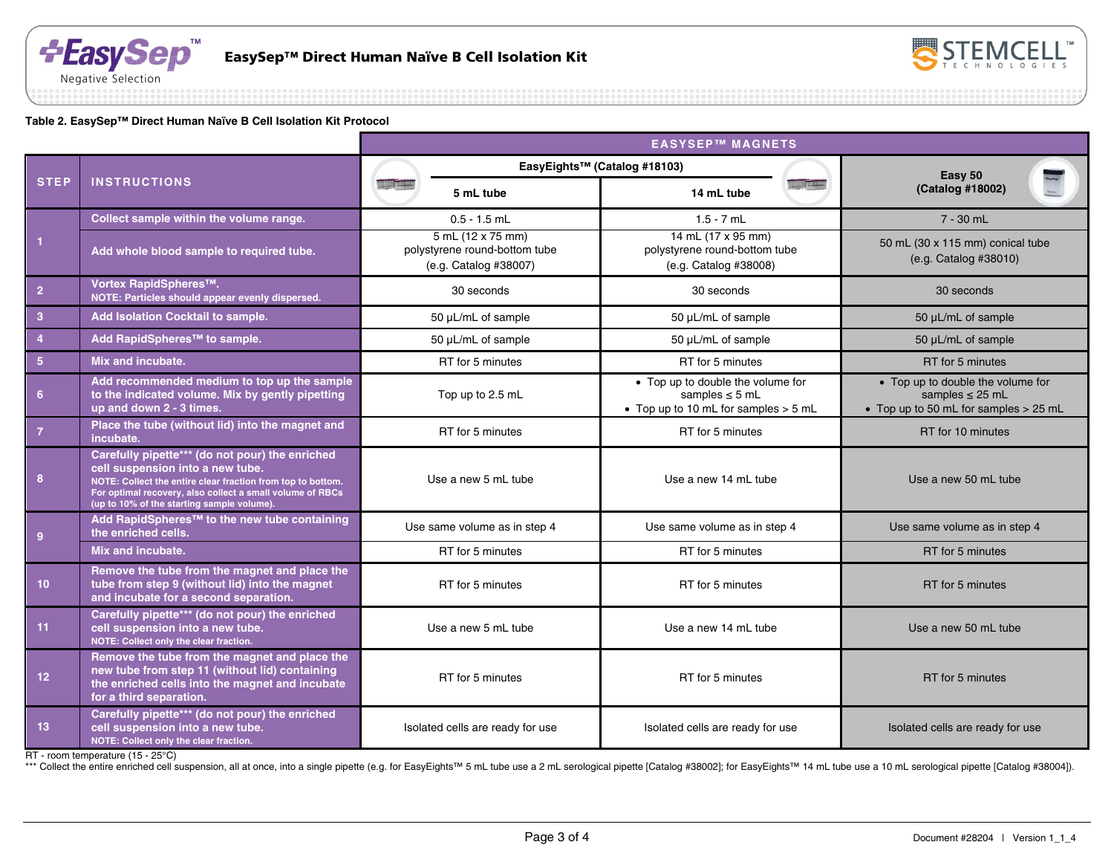



#### **Table 2. EasySep™ Direct Human Naïve B Cell Isolation Kit Protocol**

|                 |                                                                                                                                                                                                                                                               | <b>EASYSEP™ MAGNETS</b>                                                     |                                  |                                                                                                    |                   |                                                                                                    |
|-----------------|---------------------------------------------------------------------------------------------------------------------------------------------------------------------------------------------------------------------------------------------------------------|-----------------------------------------------------------------------------|----------------------------------|----------------------------------------------------------------------------------------------------|-------------------|----------------------------------------------------------------------------------------------------|
|                 | <b>INSTRUCTIONS</b>                                                                                                                                                                                                                                           |                                                                             | EasyEights™ (Catalog #18103)     |                                                                                                    |                   | Easy 50                                                                                            |
| <b>STEP</b>     |                                                                                                                                                                                                                                                               | <b>THE TIME</b>                                                             | 5 mL tube                        | 14 mL tube                                                                                         | <b>III LITTLE</b> | (Catalog #18002)                                                                                   |
|                 | Collect sample within the volume range.                                                                                                                                                                                                                       |                                                                             | $0.5 - 1.5$ mL                   | $1.5 - 7$ mL                                                                                       |                   | $7 - 30$ mL                                                                                        |
| $\mathbf{1}$    | Add whole blood sample to required tube.                                                                                                                                                                                                                      | 5 mL (12 x 75 mm)<br>polystyrene round-bottom tube<br>(e.g. Catalog #38007) |                                  | 14 mL (17 x 95 mm)<br>polystyrene round-bottom tube<br>(e.g. Catalog #38008)                       |                   | 50 mL (30 x 115 mm) conical tube<br>(e.g. Catalog #38010)                                          |
| $\overline{2}$  | Vortex RapidSpheres <sup>™</sup> .<br>NOTE: Particles should appear evenly dispersed.                                                                                                                                                                         | 30 seconds                                                                  |                                  | 30 seconds                                                                                         |                   | 30 seconds                                                                                         |
| $\overline{3}$  | Add Isolation Cocktail to sample.                                                                                                                                                                                                                             | 50 µL/mL of sample                                                          |                                  | 50 µL/mL of sample                                                                                 |                   | 50 µL/mL of sample                                                                                 |
| $\overline{4}$  | Add RapidSpheres <sup>™</sup> to sample.                                                                                                                                                                                                                      | 50 µL/mL of sample                                                          |                                  | 50 µL/mL of sample                                                                                 |                   | 50 µL/mL of sample                                                                                 |
| 5 <sup>1</sup>  | Mix and incubate.                                                                                                                                                                                                                                             | RT for 5 minutes                                                            |                                  | RT for 5 minutes                                                                                   |                   | RT for 5 minutes                                                                                   |
| $6\phantom{1}$  | Add recommended medium to top up the sample<br>to the indicated volume. Mix by gently pipetting<br>up and down 2 - 3 times.                                                                                                                                   | Top up to 2.5 mL                                                            |                                  | • Top up to double the volume for<br>samples $\leq$ 5 mL<br>• Top up to 10 mL for samples $>$ 5 mL |                   | • Top up to double the volume for<br>samples $\leq$ 25 mL<br>• Top up to 50 mL for samples > 25 mL |
| $\overline{7}$  | Place the tube (without lid) into the magnet and<br>incubate.                                                                                                                                                                                                 | RT for 5 minutes                                                            |                                  | RT for 5 minutes                                                                                   |                   | RT for 10 minutes                                                                                  |
| 8               | Carefully pipette*** (do not pour) the enriched<br>cell suspension into a new tube.<br>NOTE: Collect the entire clear fraction from top to bottom.<br>For optimal recovery, also collect a small volume of RBCs<br>(up to 10% of the starting sample volume). | Use a new 5 mL tube                                                         |                                  | Use a new 14 mL tube                                                                               |                   | Use a new 50 mL tube                                                                               |
| $\overline{9}$  | Add RapidSpheres™ to the new tube containing<br>the enriched cells.                                                                                                                                                                                           | Use same volume as in step 4                                                |                                  | Use same volume as in step 4                                                                       |                   | Use same volume as in step 4                                                                       |
|                 | Mix and incubate.                                                                                                                                                                                                                                             | RT for 5 minutes                                                            |                                  | RT for 5 minutes                                                                                   |                   | RT for 5 minutes                                                                                   |
| 10 <sub>1</sub> | Remove the tube from the magnet and place the<br>tube from step 9 (without lid) into the magnet<br>and incubate for a second separation.                                                                                                                      | RT for 5 minutes                                                            |                                  | RT for 5 minutes                                                                                   |                   | RT for 5 minutes                                                                                   |
| 11              | Carefully pipette*** (do not pour) the enriched<br>cell suspension into a new tube.<br>NOTE: Collect only the clear fraction.                                                                                                                                 |                                                                             | Use a new 5 mL tube              | Use a new 14 mL tube                                                                               |                   | Use a new 50 mL tube                                                                               |
| $12$            | Remove the tube from the magnet and place the<br>new tube from step 11 (without lid) containing<br>the enriched cells into the magnet and incubate<br>for a third separation.                                                                                 |                                                                             | RT for 5 minutes                 | RT for 5 minutes                                                                                   |                   | RT for 5 minutes                                                                                   |
| 13              | Carefully pipette*** (do not pour) the enriched<br>cell suspension into a new tube.<br>NOTE: Collect only the clear fraction.                                                                                                                                 |                                                                             | Isolated cells are ready for use | Isolated cells are ready for use                                                                   |                   | Isolated cells are ready for use                                                                   |

RT - room temperature (15 - 25°C)

\*\*\* Collect the entire enriched cell suspension, all at once, into a single pipette (e.g. for EasyEights™ 5 mL tube use a 2 mL serological pipette [Catalog #38002]; for EasyEights™ 14 mL tube use a 10 mL serological pipett